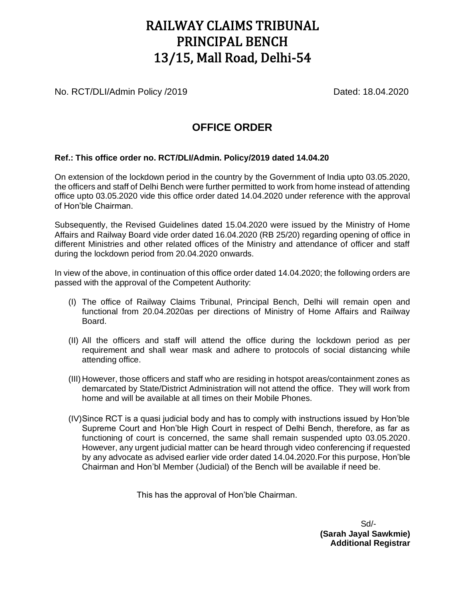## RAILWAY CLAIMS TRIBUNAL PRINCIPAL BENCH 13/15, Mall Road, Delhi-54

No. RCT/DLI/Admin Policy /2019 Dated: 18.04.2020

## **OFFICE ORDER**

## **Ref.: This office order no. RCT/DLI/Admin. Policy/2019 dated 14.04.20**

On extension of the lockdown period in the country by the Government of India upto 03.05.2020, the officers and staff of Delhi Bench were further permitted to work from home instead of attending office upto 03.05.2020 vide this office order dated 14.04.2020 under reference with the approval of Hon'ble Chairman.

Subsequently, the Revised Guidelines dated 15.04.2020 were issued by the Ministry of Home Affairs and Railway Board vide order dated 16.04.2020 (RB 25/20) regarding opening of office in different Ministries and other related offices of the Ministry and attendance of officer and staff during the lockdown period from 20.04.2020 onwards.

In view of the above, in continuation of this office order dated 14.04.2020; the following orders are passed with the approval of the Competent Authority:

- (I) The office of Railway Claims Tribunal, Principal Bench, Delhi will remain open and functional from 20.04.2020as per directions of Ministry of Home Affairs and Railway Board.
- (II) All the officers and staff will attend the office during the lockdown period as per requirement and shall wear mask and adhere to protocols of social distancing while attending office.
- (III) However, those officers and staff who are residing in hotspot areas/containment zones as demarcated by State/District Administration will not attend the office. They will work from home and will be available at all times on their Mobile Phones.
- (IV)Since RCT is a quasi judicial body and has to comply with instructions issued by Hon'ble Supreme Court and Hon'ble High Court in respect of Delhi Bench, therefore, as far as functioning of court is concerned, the same shall remain suspended upto 03.05.2020. However, any urgent judicial matter can be heard through video conferencing if requested by any advocate as advised earlier vide order dated 14.04.2020.For this purpose, Hon'ble Chairman and Hon'bl Member (Judicial) of the Bench will be available if need be.

This has the approval of Hon'ble Chairman.

 Sd/- **(Sarah Jayal Sawkmie) Additional Registrar**